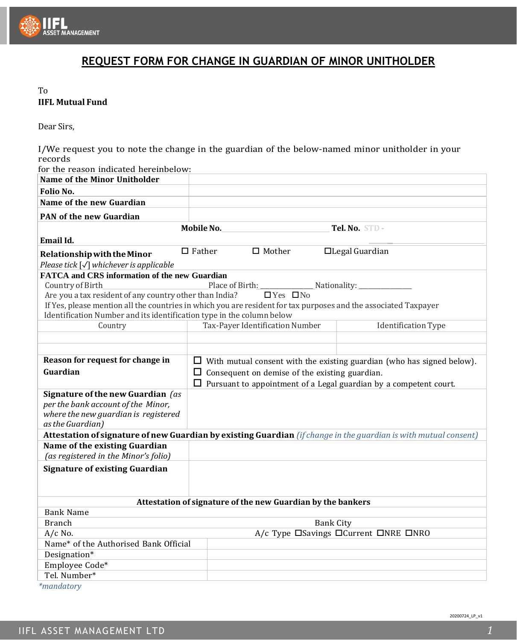

## **REQUEST FORM FOR CHANGE IN GUARDIAN OF MINOR UNITHOLDER**

## To **IIFL Mutual Fund**

Dear Sirs,

I/We request you to note the change in the guardian of the below-named minor unitholder in your records

| for the reason indicated hereinbelow:                                                                                               |                                                                               |                  |                                                                          |
|-------------------------------------------------------------------------------------------------------------------------------------|-------------------------------------------------------------------------------|------------------|--------------------------------------------------------------------------|
| Name of the Minor Unitholder                                                                                                        |                                                                               |                  |                                                                          |
| Folio No.                                                                                                                           |                                                                               |                  |                                                                          |
| Name of the new Guardian                                                                                                            |                                                                               |                  |                                                                          |
| <b>PAN of the new Guardian</b>                                                                                                      |                                                                               |                  |                                                                          |
|                                                                                                                                     | Mobile No.                                                                    |                  | Tel. No. STD -                                                           |
| Email Id.                                                                                                                           |                                                                               |                  |                                                                          |
| Relationship with the Minor<br>Please tick $[\sqrt{\ }$ whichever is applicable                                                     | $\Box$ Father<br>$\hfill \Box$ Mother                                         |                  | $\Box$ Legal Guardian                                                    |
| <b>FATCA and CRS information of the new Guardian</b>                                                                                |                                                                               |                  |                                                                          |
| Country of Birth                                                                                                                    | Place of Birth:                                                               | Nationality:     |                                                                          |
| Are you a tax resident of any country other than India?                                                                             | $\Box$ Yes $\Box$ No                                                          |                  |                                                                          |
| If Yes, please mention all the countries in which you are resident for tax purposes and the associated Taxpayer                     |                                                                               |                  |                                                                          |
| Identification Number and its identification type in the column below                                                               |                                                                               |                  |                                                                          |
| Country                                                                                                                             | Tax-Payer Identification Number                                               |                  | <b>Identification Type</b>                                               |
|                                                                                                                                     |                                                                               |                  |                                                                          |
|                                                                                                                                     |                                                                               |                  |                                                                          |
| Reason for request for change in                                                                                                    | $\Box$ With mutual consent with the existing guardian (who has signed below). |                  |                                                                          |
| Guardian                                                                                                                            | $\Box$ Consequent on demise of the existing guardian.                         |                  |                                                                          |
|                                                                                                                                     |                                                                               |                  | $\Box$ Pursuant to appointment of a Legal guardian by a competent court. |
| Signature of the new Guardian (as<br>per the bank account of the Minor,<br>where the new guardian is registered<br>as the Guardian) |                                                                               |                  |                                                                          |
| Attestation of signature of new Guardian by existing Guardian (if change in the guardian is with mutual consent)                    |                                                                               |                  |                                                                          |
| Name of the existing Guardian<br>(as registered in the Minor's folio)                                                               |                                                                               |                  |                                                                          |
| <b>Signature of existing Guardian</b>                                                                                               |                                                                               |                  |                                                                          |
|                                                                                                                                     | Attestation of signature of the new Guardian by the bankers                   |                  |                                                                          |
| <b>Bank Name</b>                                                                                                                    |                                                                               |                  |                                                                          |
| <b>Branch</b>                                                                                                                       |                                                                               | <b>Bank City</b> |                                                                          |
| $A/c$ No.                                                                                                                           |                                                                               |                  | A/c Type □Savings □Current □NRE □NRO                                     |
| Name* of the Authorised Bank Official                                                                                               |                                                                               |                  |                                                                          |
| Designation*                                                                                                                        |                                                                               |                  |                                                                          |
| Employee Code*                                                                                                                      |                                                                               |                  |                                                                          |
| Tel. Number*                                                                                                                        |                                                                               |                  |                                                                          |
|                                                                                                                                     |                                                                               |                  |                                                                          |